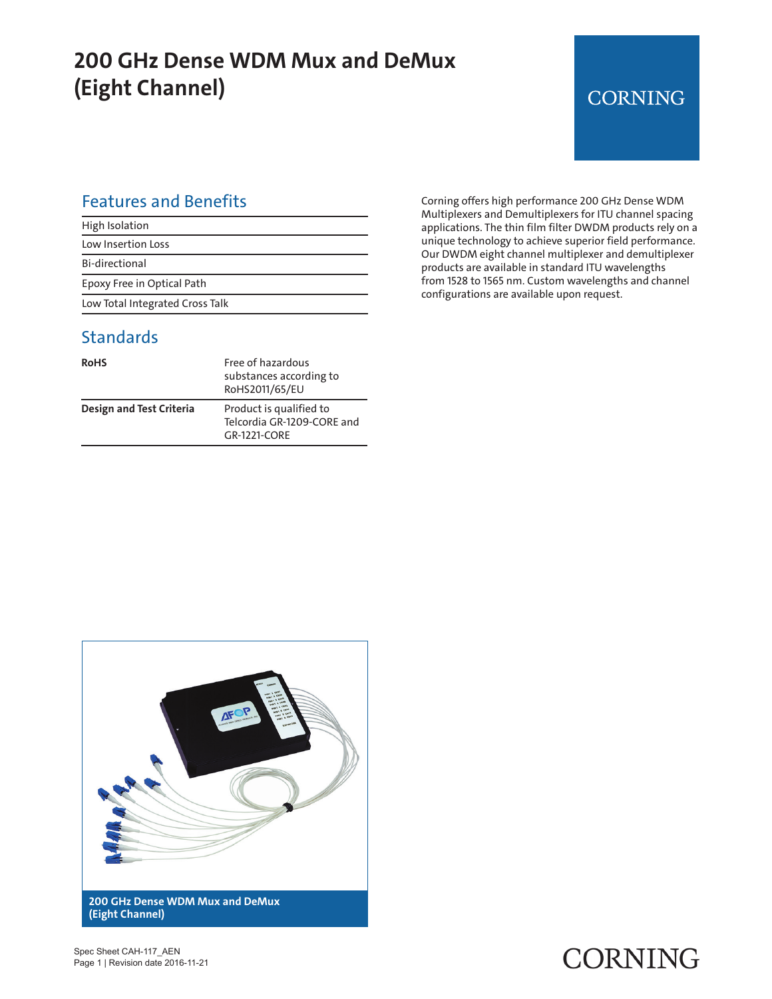## **200 GHz Dense WDM Mux and DeMux (Eight Channel)**

# **CORNING**

#### Features and Benefits

| High Isolation                  |
|---------------------------------|
| Low Insertion Loss              |
| Bi-directional                  |
| Epoxy Free in Optical Path      |
| Low Total Integrated Cross Talk |

#### **Standards**

| <b>RoHS</b>              | Free of hazardous<br>substances according to<br>RoHS2011/65/EU        |
|--------------------------|-----------------------------------------------------------------------|
| Design and Test Criteria | Product is qualified to<br>Telcordia GR-1209-CORE and<br>GR-1221-CORF |

Corning offers high performance 200 GHz Dense WDM Multiplexers and Demultiplexers for ITU channel spacing applications. The thin film filter DWDM products rely on a unique technology to achieve superior field performance. Our DWDM eight channel multiplexer and demultiplexer products are available in standard ITU wavelengths from 1528 to 1565 nm. Custom wavelengths and channel configurations are available upon request.



CORNING

Spec Sheet CAH-117\_AEN Page 1 | Revision date 2016-11-21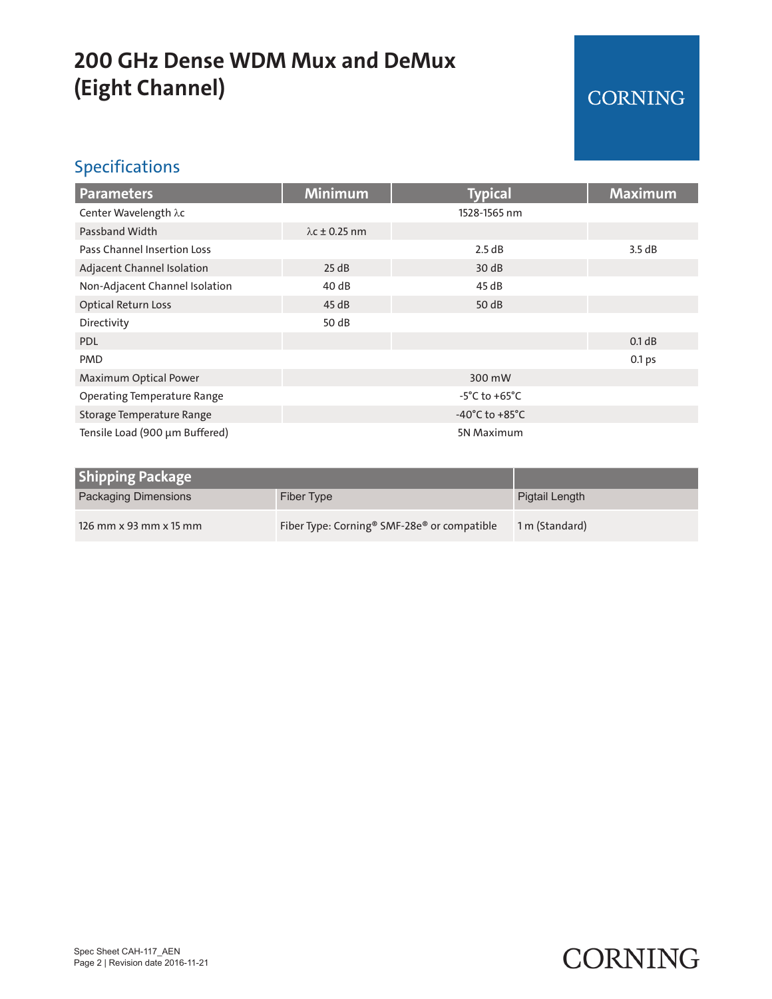## **200 GHz Dense WDM Mux and DeMux (Eight Channel)**

### CORNING

#### Specifications

| <b>Parameters</b>                  | <b>Minimum</b>                     | <b>Typical</b> | <b>Maximum</b>    |
|------------------------------------|------------------------------------|----------------|-------------------|
| Center Wavelength λc               |                                    | 1528-1565 nm   |                   |
| Passband Width                     | $\lambda$ c ± 0.25 nm              |                |                   |
| <b>Pass Channel Insertion Loss</b> |                                    | 2.5 dB         | 3.5dB             |
| Adjacent Channel Isolation         | 25 dB                              | 30dB           |                   |
| Non-Adjacent Channel Isolation     | 40 dB                              | 45 dB          |                   |
| <b>Optical Return Loss</b>         | 45dB                               | 50 dB          |                   |
| Directivity                        | 50 dB                              |                |                   |
| <b>PDL</b>                         |                                    |                | 0.1 dB            |
| <b>PMD</b>                         |                                    |                | 0.1 <sub>ps</sub> |
| Maximum Optical Power              | 300 mW                             |                |                   |
| <b>Operating Temperature Range</b> | $-5^{\circ}$ C to $+65^{\circ}$ C  |                |                   |
| Storage Temperature Range          | $-40^{\circ}$ C to $+85^{\circ}$ C |                |                   |
| Tensile Load (900 µm Buffered)     | 5N Maximum                         |                |                   |

| <b>Shipping Package</b> |                                                                     |                |
|-------------------------|---------------------------------------------------------------------|----------------|
| Packaging Dimensions    | Fiber Type                                                          | Pigtail Length |
| 126 mm x 93 mm x 15 mm  | Fiber Type: Corning <sup>®</sup> SMF-28e <sup>®</sup> or compatible | 1 m (Standard) |